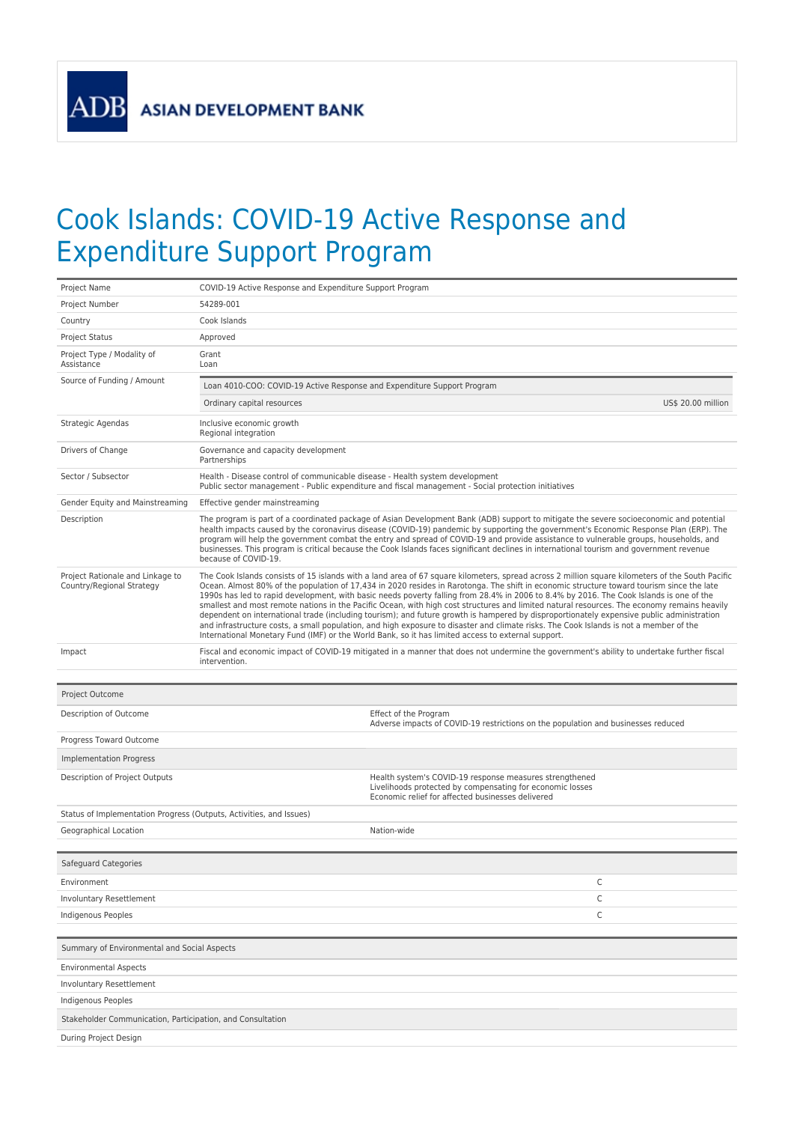**ASIAN DEVELOPMENT BANK** 

**ADB** 

## Cook Islands: COVID-19 Active Response and Expenditure Support Program

| Project Name<br>COVID-19 Active Response and Expenditure Support Program                                                                                                                                    |                                                                                                                                                                                                                                                                                                                                                                                                                                                                                                                                                                                                                                                                                                                                                                                                                                                                                |  |  |
|-------------------------------------------------------------------------------------------------------------------------------------------------------------------------------------------------------------|--------------------------------------------------------------------------------------------------------------------------------------------------------------------------------------------------------------------------------------------------------------------------------------------------------------------------------------------------------------------------------------------------------------------------------------------------------------------------------------------------------------------------------------------------------------------------------------------------------------------------------------------------------------------------------------------------------------------------------------------------------------------------------------------------------------------------------------------------------------------------------|--|--|
| 54289-001<br>Project Number                                                                                                                                                                                 |                                                                                                                                                                                                                                                                                                                                                                                                                                                                                                                                                                                                                                                                                                                                                                                                                                                                                |  |  |
| Cook Islands<br>Country                                                                                                                                                                                     |                                                                                                                                                                                                                                                                                                                                                                                                                                                                                                                                                                                                                                                                                                                                                                                                                                                                                |  |  |
| <b>Project Status</b><br>Approved                                                                                                                                                                           |                                                                                                                                                                                                                                                                                                                                                                                                                                                                                                                                                                                                                                                                                                                                                                                                                                                                                |  |  |
| Project Type / Modality of<br>Grant<br>Assistance<br>Loan                                                                                                                                                   |                                                                                                                                                                                                                                                                                                                                                                                                                                                                                                                                                                                                                                                                                                                                                                                                                                                                                |  |  |
| Source of Funding / Amount<br>Loan 4010-COO: COVID-19 Active Response and Expenditure Support Program                                                                                                       |                                                                                                                                                                                                                                                                                                                                                                                                                                                                                                                                                                                                                                                                                                                                                                                                                                                                                |  |  |
| Ordinary capital resources                                                                                                                                                                                  | US\$ 20.00 million                                                                                                                                                                                                                                                                                                                                                                                                                                                                                                                                                                                                                                                                                                                                                                                                                                                             |  |  |
| Strategic Agendas<br>Inclusive economic growth<br>Regional integration                                                                                                                                      |                                                                                                                                                                                                                                                                                                                                                                                                                                                                                                                                                                                                                                                                                                                                                                                                                                                                                |  |  |
| Drivers of Change<br>Governance and capacity development<br>Partnerships                                                                                                                                    |                                                                                                                                                                                                                                                                                                                                                                                                                                                                                                                                                                                                                                                                                                                                                                                                                                                                                |  |  |
| Health - Disease control of communicable disease - Health system development<br>Sector / Subsector<br>Public sector management - Public expenditure and fiscal management - Social protection initiatives   |                                                                                                                                                                                                                                                                                                                                                                                                                                                                                                                                                                                                                                                                                                                                                                                                                                                                                |  |  |
| Gender Equity and Mainstreaming<br>Effective gender mainstreaming                                                                                                                                           |                                                                                                                                                                                                                                                                                                                                                                                                                                                                                                                                                                                                                                                                                                                                                                                                                                                                                |  |  |
| Description<br>because of COVID-19.                                                                                                                                                                         | The program is part of a coordinated package of Asian Development Bank (ADB) support to mitigate the severe socioeconomic and potential<br>health impacts caused by the coronavirus disease (COVID-19) pandemic by supporting the government's Economic Response Plan (ERP). The<br>program will help the government combat the entry and spread of COVID-19 and provide assistance to vulnerable groups, households, and<br>businesses. This program is critical because the Cook Islands faces significant declines in international tourism and government revenue                                                                                                                                                                                                                                                                                                          |  |  |
| Project Rationale and Linkage to<br>Country/Regional Strategy<br>International Monetary Fund (IMF) or the World Bank, so it has limited access to external support.                                         | The Cook Islands consists of 15 islands with a land area of 67 square kilometers, spread across 2 million square kilometers of the South Pacific<br>Ocean. Almost 80% of the population of 17,434 in 2020 resides in Rarotonga. The shift in economic structure toward tourism since the late<br>1990s has led to rapid development, with basic needs poverty falling from 28.4% in 2006 to 8.4% by 2016. The Cook Islands is one of the<br>smallest and most remote nations in the Pacific Ocean, with high cost structures and limited natural resources. The economy remains heavily<br>dependent on international trade (including tourism); and future growth is hampered by disproportionately expensive public administration<br>and infrastructure costs, a small population, and high exposure to disaster and climate risks. The Cook Islands is not a member of the |  |  |
| Impact<br>intervention.                                                                                                                                                                                     | Fiscal and economic impact of COVID-19 mitigated in a manner that does not undermine the government's ability to undertake further fiscal                                                                                                                                                                                                                                                                                                                                                                                                                                                                                                                                                                                                                                                                                                                                      |  |  |
| Project Outcome                                                                                                                                                                                             |                                                                                                                                                                                                                                                                                                                                                                                                                                                                                                                                                                                                                                                                                                                                                                                                                                                                                |  |  |
| Description of Outcome<br>Effect of the Program<br>Adverse impacts of COVID-19 restrictions on the population and businesses reduced                                                                        |                                                                                                                                                                                                                                                                                                                                                                                                                                                                                                                                                                                                                                                                                                                                                                                                                                                                                |  |  |
| Progress Toward Outcome                                                                                                                                                                                     |                                                                                                                                                                                                                                                                                                                                                                                                                                                                                                                                                                                                                                                                                                                                                                                                                                                                                |  |  |
| Implementation Progress                                                                                                                                                                                     |                                                                                                                                                                                                                                                                                                                                                                                                                                                                                                                                                                                                                                                                                                                                                                                                                                                                                |  |  |
| Description of Project Outputs<br>Health system's COVID-19 response measures strengthened<br>Livelihoods protected by compensating for economic losses<br>Economic relief for affected businesses delivered |                                                                                                                                                                                                                                                                                                                                                                                                                                                                                                                                                                                                                                                                                                                                                                                                                                                                                |  |  |
| Status of Implementation Progress (Outputs, Activities, and Issues)                                                                                                                                         |                                                                                                                                                                                                                                                                                                                                                                                                                                                                                                                                                                                                                                                                                                                                                                                                                                                                                |  |  |
| Geographical Location<br>Nation-wide                                                                                                                                                                        |                                                                                                                                                                                                                                                                                                                                                                                                                                                                                                                                                                                                                                                                                                                                                                                                                                                                                |  |  |
|                                                                                                                                                                                                             |                                                                                                                                                                                                                                                                                                                                                                                                                                                                                                                                                                                                                                                                                                                                                                                                                                                                                |  |  |
| Safeguard Categories                                                                                                                                                                                        |                                                                                                                                                                                                                                                                                                                                                                                                                                                                                                                                                                                                                                                                                                                                                                                                                                                                                |  |  |
| С<br>Environment                                                                                                                                                                                            |                                                                                                                                                                                                                                                                                                                                                                                                                                                                                                                                                                                                                                                                                                                                                                                                                                                                                |  |  |
| C<br>Involuntary Resettlement                                                                                                                                                                               |                                                                                                                                                                                                                                                                                                                                                                                                                                                                                                                                                                                                                                                                                                                                                                                                                                                                                |  |  |
| C<br><b>Indigenous Peoples</b>                                                                                                                                                                              |                                                                                                                                                                                                                                                                                                                                                                                                                                                                                                                                                                                                                                                                                                                                                                                                                                                                                |  |  |
| Summary of Environmental and Social Aspects                                                                                                                                                                 |                                                                                                                                                                                                                                                                                                                                                                                                                                                                                                                                                                                                                                                                                                                                                                                                                                                                                |  |  |
| <b>Environmental Aspects</b>                                                                                                                                                                                |                                                                                                                                                                                                                                                                                                                                                                                                                                                                                                                                                                                                                                                                                                                                                                                                                                                                                |  |  |
| Involuntary Resettlement                                                                                                                                                                                    |                                                                                                                                                                                                                                                                                                                                                                                                                                                                                                                                                                                                                                                                                                                                                                                                                                                                                |  |  |
|                                                                                                                                                                                                             |                                                                                                                                                                                                                                                                                                                                                                                                                                                                                                                                                                                                                                                                                                                                                                                                                                                                                |  |  |
| Indigenous Peoples                                                                                                                                                                                          |                                                                                                                                                                                                                                                                                                                                                                                                                                                                                                                                                                                                                                                                                                                                                                                                                                                                                |  |  |
| Stakeholder Communication, Participation, and Consultation                                                                                                                                                  |                                                                                                                                                                                                                                                                                                                                                                                                                                                                                                                                                                                                                                                                                                                                                                                                                                                                                |  |  |